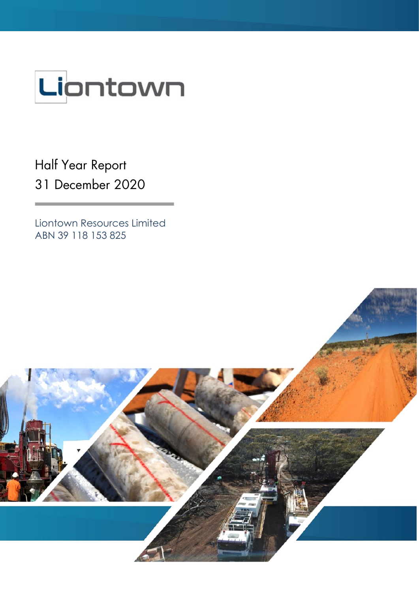

Half Year Report 31 December 2020

Liontown Resources Limited ABN 39 118 153 825

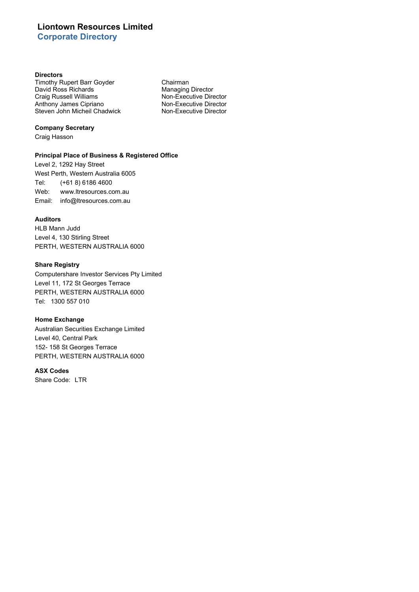# **Liontown Resources Limited Corporate Directory**

### **Directors**

Timothy Rupert Barr Goyder **Chairman**<br>
David Ross Richards **Chairman**<br>
Managing Director David Ross Richards<br>Craig Russell Williams Anthony James Cipriano<br>
Steven John Micheil Chadwick<br>
Non-Executive Director<br>
Non-Executive Director Steven John Micheil Chadwick

Non-Executive Director<br>Non-Executive Director

### **Company Secretary**

Craig Hasson

## **Principal Place of Business & Registered Office**

Level 2, 1292 Hay Street West Perth, Western Australia 6005 Tel: (+61 8) 6186 4600 Web: www.ltresources.com.au Email: info@ltresources.com.au

### **Auditors**

HLB Mann Judd Level 4, 130 Stirling Street PERTH, WESTERN AUSTRALIA 6000

## **Share Registry**

Computershare Investor Services Pty Limited Level 11, 172 St Georges Terrace PERTH, WESTERN AUSTRALIA 6000 Tel: 1300 557 010

# **Home Exchange**

Australian Securities Exchange Limited Level 40, Central Park 152- 158 St Georges Terrace PERTH, WESTERN AUSTRALIA 6000

### **ASX Codes**

Share Code: LTR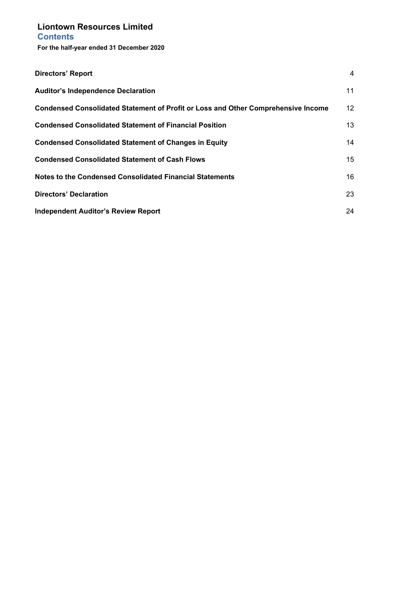# **Liontown Resources Limited Contents**

**For the half-year ended 31 December 2020**

| <b>Directors' Report</b>                                                                 | 4  |
|------------------------------------------------------------------------------------------|----|
| <b>Auditor's Independence Declaration</b>                                                | 11 |
| <b>Condensed Consolidated Statement of Profit or Loss and Other Comprehensive Income</b> | 12 |
| <b>Condensed Consolidated Statement of Financial Position</b>                            | 13 |
| <b>Condensed Consolidated Statement of Changes in Equity</b>                             | 14 |
| <b>Condensed Consolidated Statement of Cash Flows</b>                                    | 15 |
| Notes to the Condensed Consolidated Financial Statements                                 | 16 |
| <b>Directors' Declaration</b>                                                            | 23 |
| <b>Independent Auditor's Review Report</b>                                               | 24 |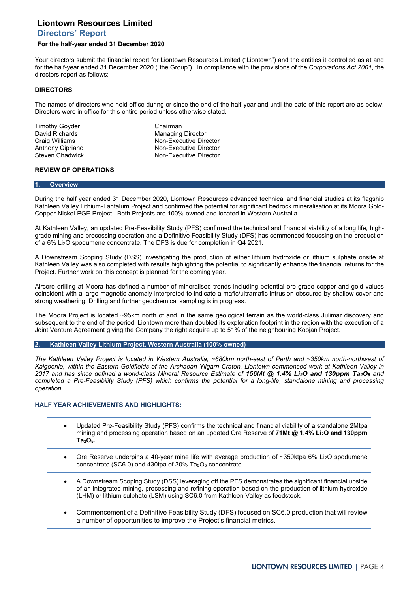# <span id="page-3-0"></span>**Liontown Resources Limited Directors' Report**

### **For the half-year ended 31 December 2020**

Your directors submit the financial report for Liontown Resources Limited ("Liontown") and the entities it controlled as at and for the half-year ended 31 December 2020 ("the Group"). In compliance with the provisions of the *Corporations Act 2001*, the directors report as follows:

### **DIRECTORS**

The names of directors who held office during or since the end of the half-year and until the date of this report are as below. Directors were in office for this entire period unless otherwise stated.

Timothy Goyder **Chairman** 

David Richards **Managing Director**<br>
Craig Williams Managing Director<br>
Mon-Executive Director Craig Williams **Non-Executive Director**<br>
Anthony Cipriano **Non-Executive Director Non-Executive Director** Steven Chadwick Non-Executive Director

## **REVIEW OF OPERATIONS**

#### **1. Overview**

During the half year ended 31 December 2020, Liontown Resources advanced technical and financial studies at its flagship Kathleen Valley Lithium-Tantalum Project and confirmed the potential for significant bedrock mineralisation at its Moora Gold-Copper-Nickel-PGE Project. Both Projects are 100%-owned and located in Western Australia.

At Kathleen Valley, an updated Pre-Feasibility Study (PFS) confirmed the technical and financial viability of a long life, highgrade mining and processing operation and a Definitive Feasibility Study (DFS) has commenced focussing on the production of a 6% Li2O spodumene concentrate. The DFS is due for completion in Q4 2021.

A Downstream Scoping Study (DSS) investigating the production of either lithium hydroxide or lithium sulphate onsite at Kathleen Valley was also completed with results highlighting the potential to significantly enhance the financial returns for the Project. Further work on this concept is planned for the coming year.

Aircore drilling at Moora has defined a number of mineralised trends including potential ore grade copper and gold values coincident with a large magnetic anomaly interpreted to indicate a mafic/ultramafic intrusion obscured by shallow cover and strong weathering. Drilling and further geochemical sampling is in progress.

The Moora Project is located ~95km north of and in the same geological terrain as the world-class Julimar discovery and subsequent to the end of the period, Liontown more than doubled its exploration footprint in the region with the execution of a Joint Venture Agreement giving the Company the right acquire up to 51% of the neighbouring Koojan Project.

**2. Kathleen Valley Lithium Project, Western Australia (100% owned)**

*The Kathleen Valley Project is located in Western Australia, ~680km north-east of Perth and ~350km north-northwest of Kalgoorlie, within the Eastern Goldfields of the Archaean Yilgarn Craton. Liontown commenced work at Kathleen Valley in 2017 and has since defined a world-class Mineral Resource Estimate of 156Mt @ 1.4% Li2O and 130ppm Ta2O5 and completed a Pre-Feasibility Study (PFS) which confirms the potential for a long-life, standalone mining and processing operation.* 

#### **HALF YEAR ACHIEVEMENTS AND HIGHLIGHTS:**

- Updated Pre-Feasibility Study (PFS) confirms the technical and financial viability of a standalone 2Mtpa mining and processing operation based on an updated Ore Reserve of **71Mt @ 1.4% Li2O and 130ppm Ta2O5.**
- Ore Reserve underpins a 40-year mine life with average production of ~350ktpa 6% Li<sub>2</sub>O spodumene concentrate (SC6.0) and 430tpa of 30%  $Ta_5O_5$  concentrate.
- A Downstream Scoping Study (DSS) leveraging off the PFS demonstrates the significant financial upside of an integrated mining, processing and refining operation based on the production of lithium hydroxide (LHM) or lithium sulphate (LSM) using SC6.0 from Kathleen Valley as feedstock.
- Commencement of a Definitive Feasibility Study (DFS) focused on SC6.0 production that will review a number of opportunities to improve the Project's financial metrics.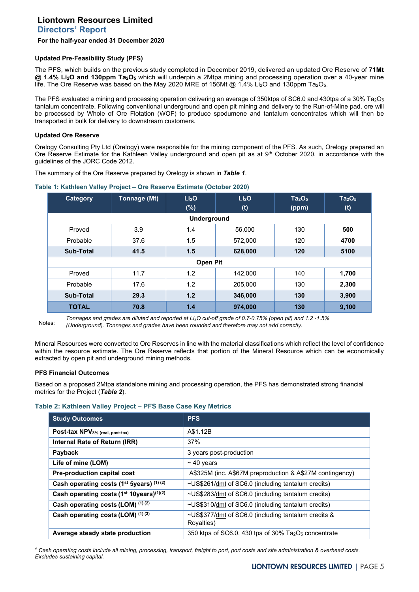# **Directors' Report**

### **For the half-year ended 31 December 2020**

### **Updated Pre-Feasibility Study (PFS)**

The PFS, which builds on the previous study completed in December 2019, delivered an updated Ore Reserve of **71Mt @ 1.4% Li2O and 130ppm Ta2O5** which will underpin a 2Mtpa mining and processing operation over a 40-year mine life. The Ore Reserve was based on the May 2020 MRE of 156Mt @ 1.4% Li<sub>2</sub>O and 130ppm Ta<sub>2</sub>O<sub>5</sub>.

The PFS evaluated a mining and processing operation delivering an average of 350ktpa of SC6.0 and 430tpa of a 30% Ta<sub>2</sub>O<sub>5</sub> tantalum concentrate. Following conventional underground and open pit mining and delivery to the Run-of-Mine pad, ore will be processed by Whole of Ore Flotation (WOF) to produce spodumene and tantalum concentrates which will then be transported in bulk for delivery to downstream customers.

### **Updated Ore Reserve**

Orelogy Consulting Pty Ltd (Orelogy) were responsible for the mining component of the PFS. As such, Orelogy prepared an Ore Reserve Estimate for the Kathleen Valley underground and open pit as at 9<sup>th</sup> October 2020, in accordance with the guidelines of the JORC Code 2012.

The summary of the Ore Reserve prepared by Orelogy is shown in *Table 1*.

| Category     | <b>Tonnage (Mt)</b> | Li <sub>2</sub> O<br>$(\%)$ | Li <sub>2</sub> O<br>(t) | Ta <sub>2</sub> O <sub>5</sub><br>(ppm) | Ta <sub>2</sub> O <sub>5</sub><br>(t) |
|--------------|---------------------|-----------------------------|--------------------------|-----------------------------------------|---------------------------------------|
|              |                     | <b>Underground</b>          |                          |                                         |                                       |
| Proved       | 3.9                 | 1.4                         | 56,000                   | 130                                     | 500                                   |
| Probable     | 37.6                | 1.5                         | 572,000                  | 120                                     | 4700                                  |
| Sub-Total    | 41.5                | 1.5                         | 628,000                  | 120                                     | 5100                                  |
|              |                     | <b>Open Pit</b>             |                          |                                         |                                       |
| Proved       | 11.7                | 1.2                         | 142,000                  | 140                                     | 1,700                                 |
| Probable     | 17.6                | 1.2                         | 205,000                  | 130                                     | 2,300                                 |
| Sub-Total    | 29.3                | 1.2                         | 346,000                  | 130                                     | 3,900                                 |
| <b>TOTAL</b> | 70.8                | 1.4                         | 974,000                  | 130                                     | 9,100                                 |

#### **Table 1: Kathleen Valley Project – Ore Reserve Estimate (October 2020)**

Notes: *Tonnages and grades are diluted and reported at Li2O cut-off grade of 0.7-0.75% (open pit) and 1.2 -1.5% (Underground). Tonnages and grades have been rounded and therefore may not add correctly.*

Mineral Resources were converted to Ore Reserves in line with the material classifications which reflect the level of confidence within the resource estimate. The Ore Reserve reflects that portion of the Mineral Resource which can be economically extracted by open pit and underground mining methods.

## **PFS Financial Outcomes**

Based on a proposed 2Mtpa standalone mining and processing operation, the PFS has demonstrated strong financial metrics for the Project (*Table 2*).

## **Table 2: Kathleen Valley Project – PFS Base Case Key Metrics**

| <b>Study Outcomes</b>                                            | <b>PFS</b>                                                        |
|------------------------------------------------------------------|-------------------------------------------------------------------|
| Post-tax NPV8% (real, post-tax)                                  | A\$1.12B                                                          |
| Internal Rate of Return (IRR)                                    | 37%                                                               |
| Payback                                                          | 3 years post-production                                           |
| Life of mine (LOM)                                               | $\sim$ 40 years                                                   |
| Pre-production capital cost                                      | A\$325M (inc. A\$67M preproduction & A\$27M contingency)          |
| Cash operating costs (1 <sup>st</sup> 5years) (1) (2)            | ~US\$261/dmt of SC6.0 (including tantalum credits)                |
| Cash operating costs (1 <sup>st</sup> 10years) <sup>(1)(2)</sup> | ~US\$283/dmt of SC6.0 (including tantalum credits)                |
| Cash operating costs (LOM) (1) (2)                               | ~US\$310/dmt of SC6.0 (including tantalum credits)                |
| Cash operating costs (LOM) (1) (3)                               | ~US\$377/dmt of SC6.0 (including tantalum credits &<br>Rovalties) |
| Average steady state production                                  | 350 ktpa of SC6.0, 430 tpa of 30% $Ta_2O_5$ concentrate           |

*<sup>1</sup> Cash operating costs include all mining, processing, transport, freight to port, port costs and site administration & overhead costs. Excludes sustaining capital.*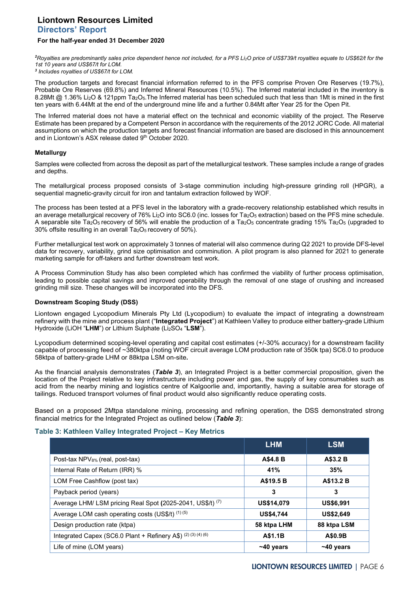# **Liontown Resources Limited Directors' Report**

# **For the half-year ended 31 December 2020**

*2 Royalties are predominantly sales price dependent hence not included, for a PFS Li2O price of US\$739/t royalties equate to US\$62/t for the 1st 10 years and US\$67/t for LOM.*

*<sup>3</sup> Includes royalties of US\$67/t for LOM.*

The production targets and forecast financial information referred to in the PFS comprise Proven Ore Reserves (19.7%), Probable Ore Reserves (69.8%) and Inferred Mineral Resources (10.5%). The Inferred material included in the inventory is 8.28Mt @ 1.36% Li<sub>2</sub>O & 121ppm Ta<sub>2</sub>O<sub>5</sub>. The Inferred material has been scheduled such that less than 1Mt is mined in the first ten years with 6.44Mt at the end of the underground mine life and a further 0.84Mt after Year 25 for the Open Pit.

The Inferred material does not have a material effect on the technical and economic viability of the project. The Reserve Estimate has been prepared by a Competent Person in accordance with the requirements of the 2012 JORC Code. All material assumptions on which the production targets and forecast financial information are based are disclosed in this announcement and in Liontown's ASX release dated 9th October 2020.

## **Metallurgy**

Samples were collected from across the deposit as part of the metallurgical testwork. These samples include a range of grades and depths.

The metallurgical process proposed consists of 3-stage comminution including high-pressure grinding roll (HPGR), a sequential magnetic-gravity circuit for iron and tantalum extraction followed by WOF.

The process has been tested at a PFS level in the laboratory with a grade-recovery relationship established which results in an average metallurgical recovery of 76% Li<sub>2</sub>O into SC6.0 (inc. losses for Ta<sub>2</sub>O<sub>5</sub> extraction) based on the PFS mine schedule. A separable site Ta<sub>2</sub>O<sub>5</sub> recovery of 56% will enable the production of a Ta<sub>2</sub>O<sub>5</sub> concentrate grading 15% Ta<sub>2</sub>O<sub>5</sub> (upgraded to 30% offsite resulting in an overall Ta2O5 recovery of 50%).

Further metallurgical test work on approximately 3 tonnes of material will also commence during Q2 2021 to provide DFS-level data for recovery, variability, grind size optimisation and comminution. A pilot program is also planned for 2021 to generate marketing sample for off-takers and further downstream test work.

A Process Comminution Study has also been completed which has confirmed the viability of further process optimisation, leading to possible capital savings and improved operability through the removal of one stage of crushing and increased grinding mill size. These changes will be incorporated into the DFS.

## **Downstream Scoping Study (DSS)**

Liontown engaged Lycopodium Minerals Pty Ltd (Lycopodium) to evaluate the impact of integrating a downstream refinery with the mine and process plant ("**Integrated Project**") at Kathleen Valley to produce either battery-grade Lithium Hydroxide (LiOH "**LHM**") or Lithium Sulphate (Li2SO4 "**LSM**").

Lycopodium determined scoping-level operating and capital cost estimates (+/-30% accuracy) for a downstream facility capable of processing feed of ~380ktpa (noting WOF circuit average LOM production rate of 350k tpa) SC6.0 to produce 58ktpa of battery-grade LHM or 88ktpa LSM on-site**.** 

As the financial analysis demonstrates (*Table 3*), an Integrated Project is a better commercial proposition, given the location of the Project relative to key infrastructure including power and gas, the supply of key consumables such as acid from the nearby mining and logistics centre of Kalgoorlie and, importantly, having a suitable area for storage of tailings. Reduced transport volumes of final product would also significantly reduce operating costs.

Based on a proposed 2Mtpa standalone mining, processing and refining operation, the DSS demonstrated strong financial metrics for the Integrated Project as outlined below (*Table 3*):

## **Table 3: Kathleen Valley Integrated Project – Key Metrics**

|                                                                       | <b>LHM</b>        | <b>LSM</b>       |
|-----------------------------------------------------------------------|-------------------|------------------|
| Post-tax NPV <sub>8%</sub> (real, post-tax)                           | A\$4.8 B          | A\$3.2 B         |
| Internal Rate of Return (IRR) %                                       | 41%               | 35%              |
| LOM Free Cashflow (post tax)                                          | A\$19.5 B         | A\$13.2 B        |
| Payback period (years)                                                | 3                 | 3                |
| Average LHM/ LSM pricing Real Spot (2025-2041, US\$/t) <sup>(7)</sup> | <b>US\$14,079</b> | <b>US\$6,991</b> |
| Average LOM cash operating costs (US\$/t) (1) (5)                     | <b>US\$4,744</b>  | <b>US\$2,649</b> |
| Design production rate (ktpa)                                         | 58 ktpa LHM       | 88 ktpa LSM      |
| Integrated Capex (SC6.0 Plant + Refinery A\$) (2) (3) (4) (6)         | A\$1.1B           | A\$0.9B          |
| Life of mine (LOM years)                                              | $~10$ years       | $~10$ years      |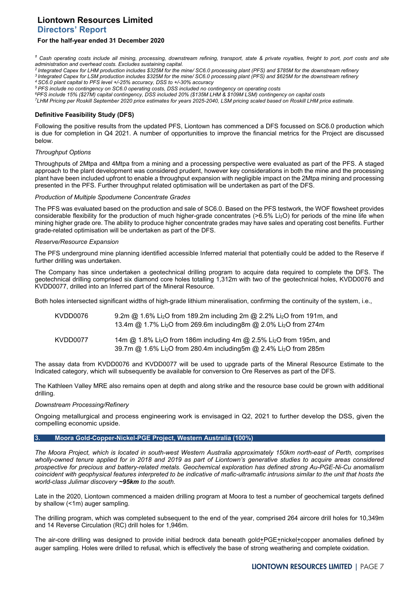## **Directors' Report**

### **For the half-year ended 31 December 2020**

*<sup>1</sup> Cash operating costs include all mining, processing, downstream refining, transport, state & private royalties, freight to port, port costs and site administration and overhead costs. Excludes sustaining capital.*

- *2 Integrated Capex for LHM production includes \$325M for the mine/ SC6.0 processing plant (PFS) and \$785M for the downstream refinery*
- *3 Integrated Capex for LSM production includes \$325M for the mine/ SC6.0 processing plant (PFS) and \$625M for the downstream refinery*
- *4 SC6.0 plant capital to PFS level +/-25% accuracy, DSS to +/-30% accuracy*

*5 PFS include no contingency on SC6.0 operating costs, DSS included no contingency on operating costs 6PFS include 15% (\$27M) capital contingency, DSS included 20% (\$135M LHM & \$109M LSM) contingency on capital costs* 

*7LHM Pricing per Roskill September 2020 price estimates for years 2025-2040, LSM pricing scaled based on Roskill LHM price estimate.* 

### **Definitive Feasibility Study (DFS)**

Following the positive results from the updated PFS, Liontown has commenced a DFS focussed on SC6.0 production which is due for completion in Q4 2021. A number of opportunities to improve the financial metrics for the Project are discussed below.

### *Throughput Options*

Throughputs of 2Mtpa and 4Mtpa from a mining and a processing perspective were evaluated as part of the PFS. A staged approach to the plant development was considered prudent, however key considerations in both the mine and the processing plant have been included upfront to enable a throughput expansion with negligible impact on the 2Mtpa mining and processing presented in the PFS. Further throughput related optimisation will be undertaken as part of the DFS.

#### *Production of Multiple Spodumene Concentrate Grades*

The PFS was evaluated based on the production and sale of SC6.0. Based on the PFS testwork, the WOF flowsheet provides considerable flexibility for the production of much higher-grade concentrates (>6.5% Li2O) for periods of the mine life when mining higher grade ore. The ability to produce higher concentrate grades may have sales and operating cost benefits. Further grade-related optimisation will be undertaken as part of the DFS.

#### *Reserve/Resource Expansion*

The PFS underground mine planning identified accessible Inferred material that potentially could be added to the Reserve if further drilling was undertaken.

The Company has since undertaken a geotechnical drilling program to acquire data required to complete the DFS. The geotechnical drilling comprised six diamond core holes totalling 1,312m with two of the geotechnical holes, KVDD0076 and KVDD0077, drilled into an Inferred part of the Mineral Resource.

Both holes intersected significant widths of high-grade lithium mineralisation, confirming the continuity of the system, i.e.,

| KVDD0076 | 9.2m @ 1.6% Li <sub>2</sub> O from 189.2m including 2m @ 2.2% Li <sub>2</sub> O from 191m, and<br>13.4m @ 1.7% Li <sub>2</sub> O from 269.6m including8m @ 2.0% Li <sub>2</sub> O from 274m |
|----------|---------------------------------------------------------------------------------------------------------------------------------------------------------------------------------------------|
| KVDD0077 | 14m @ 1.8% Li <sub>2</sub> O from 186m including 4m @ 2.5% Li <sub>2</sub> O from 195m, and<br>39.7m @ 1.6% Li <sub>2</sub> O from 280.4m including5m @ 2.4% Li <sub>2</sub> O from 285m    |

The assay data from KVDD0076 and KVDD0077 will be used to upgrade parts of the Mineral Resource Estimate to the Indicated category, which will subsequently be available for conversion to Ore Reserves as part of the DFS.

The Kathleen Valley MRE also remains open at depth and along strike and the resource base could be grown with additional drilling.

### *Downstream Processing/Refinery*

Ongoing metallurgical and process engineering work is envisaged in Q2, 2021 to further develop the DSS, given the compelling economic upside.

### **3. Moora Gold-Copper-Nickel-PGE Project, Western Australia (100%)**

*The Moora Project, which is located in south-west Western Australia approximately 150km north-east of Perth, comprises wholly-owned tenure applied for in 2018 and 2019 as part of Liontown's generative studies to acquire areas considered prospective for precious and battery-related metals. Geochemical exploration has defined strong Au-PGE-Ni-Cu anomalism coincident with geophysical features interpreted to be indicative of mafic-ultramafic intrusions similar to the unit that hosts the world-class Julimar discovery ~95km to the south.*

Late in the 2020, Liontown commenced a maiden drilling program at Moora to test a number of geochemical targets defined by shallow (<1m) auger sampling.

The drilling program, which was completed subsequent to the end of the year, comprised 264 aircore drill holes for 10,349m and 14 Reverse Circulation (RC) drill holes for 1,946m.

The air-core drilling was designed to provide initial bedrock data beneath gold+PGE+nickel+copper anomalies defined by auger sampling. Holes were drilled to refusal, which is effectively the base of strong weathering and complete oxidation.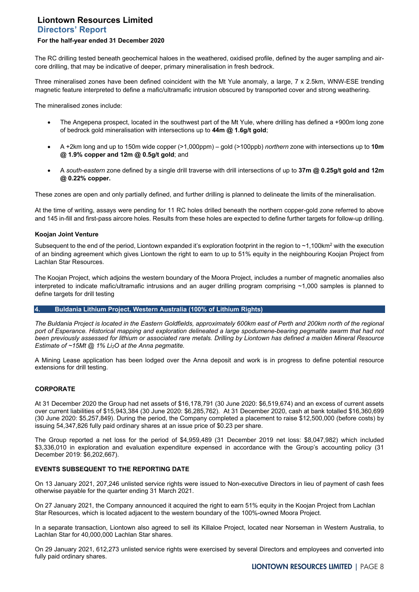# **Liontown Resources Limited Directors' Report**

# **For the half-year ended 31 December 2020**

The RC drilling tested beneath geochemical haloes in the weathered, oxidised profile, defined by the auger sampling and aircore drilling, that may be indicative of deeper, primary mineralisation in fresh bedrock.

Three mineralised zones have been defined coincident with the Mt Yule anomaly, a large, 7 x 2.5km, WNW-ESE trending magnetic feature interpreted to define a mafic/ultramafic intrusion obscured by transported cover and strong weathering.

The mineralised zones include:

- The Angepena prospect, located in the southwest part of the Mt Yule, where drilling has defined a +900m long zone of bedrock gold mineralisation with intersections up to **44m @ 1.6g/t gold**;
- A +2km long and up to 150m wide copper (>1,000ppm) gold (>100ppb) *northern* zone with intersections up to **10m @ 1.9% copper and 12m @ 0.5g/t gold**; and
- A *south-eastern* zone defined by a single drill traverse with drill intersections of up to **37m @ 0.25g/t gold and 12m @ 0.22% copper.**

These zones are open and only partially defined, and further drilling is planned to delineate the limits of the mineralisation.

At the time of writing, assays were pending for 11 RC holes drilled beneath the northern copper-gold zone referred to above and 145 in-fill and first-pass aircore holes. Results from these holes are expected to define further targets for follow-up drilling.

### **Koojan Joint Venture**

Subsequent to the end of the period, Liontown expanded it's exploration footprint in the region to  $\sim$ 1,100km<sup>2</sup> with the execution of an binding agreement which gives Liontown the right to earn to up to 51% equity in the neighbouring Koojan Project from Lachlan Star Resources.

The Koojan Project, which adjoins the western boundary of the Moora Project, includes a number of magnetic anomalies also interpreted to indicate mafic/ultramafic intrusions and an auger drilling program comprising ~1,000 samples is planned to define targets for drill testing

# **4. Buldania Lithium Project, Western Australia (100% of Lithium Rights)**

*The Buldania Project is located in the Eastern Goldfields, approximately 600km east of Perth and 200km north of the regional port of Esperance. Historical mapping and exploration delineated a large spodumene-bearing pegmatite swarm that had not been previously assessed for lithium or associated rare metals. Drilling by Liontown has defined a maiden Mineral Resource Estimate of ~15Mt @ 1% Li2O at the Anna pegmatite.*

A Mining Lease application has been lodged over the Anna deposit and work is in progress to define potential resource extensions for drill testing.

## **CORPORATE**

At 31 December 2020 the Group had net assets of \$16,178,791 (30 June 2020: \$6,519,674) and an excess of current assets over current liabilities of \$15,943,384 (30 June 2020: \$6,285,762). At 31 December 2020, cash at bank totalled \$16,360,699 (30 June 2020: \$5,257,849). During the period, the Company completed a placement to raise \$12,500,000 (before costs) by issuing 54,347,826 fully paid ordinary shares at an issue price of \$0.23 per share.

The Group reported a net loss for the period of \$4,959,489 (31 December 2019 net loss: \$8,047,982) which included \$3,336,010 in exploration and evaluation expenditure expensed in accordance with the Group's accounting policy (31 December 2019: \$6,202,667).

## **EVENTS SUBSEQUENT TO THE REPORTING DATE**

On 13 January 2021, 207,246 unlisted service rights were issued to Non-executive Directors in lieu of payment of cash fees otherwise payable for the quarter ending 31 March 2021.

On 27 January 2021, the Company announced it acquired the right to earn 51% equity in the Koojan Project from Lachlan Star Resources, which is located adjacent to the western boundary of the 100%-owned Moora Project.

In a separate transaction, Liontown also agreed to sell its Killaloe Project, located near Norseman in Western Australia, to Lachlan Star for 40,000,000 Lachlan Star shares.

On 29 January 2021, 612,273 unlisted service rights were exercised by several Directors and employees and converted into fully paid ordinary shares.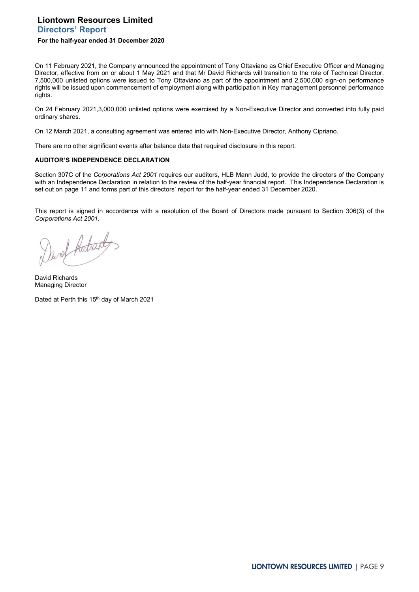# **Liontown Resources Limited Directors' Report**

### **For the half-year ended 31 December 2020**

On 11 February 2021, the Company announced the appointment of Tony Ottaviano as Chief Executive Officer and Managing Director, effective from on or about 1 May 2021 and that Mr David Richards will transition to the role of Technical Director. 7,500,000 unlisted options were issued to Tony Ottaviano as part of the appointment and 2,500,000 sign-on performance rights will be issued upon commencement of employment along with participation in Key management personnel performance rights.

On 24 February 2021,3,000,000 unlisted options were exercised by a Non-Executive Director and converted into fully paid ordinary shares.

On 12 March 2021, a consulting agreement was entered into with Non-Executive Director, Anthony Cipriano.

There are no other significant events after balance date that required disclosure in this report.

### **AUDITOR'S INDEPENDENCE DECLARATION**

Section 307C of the *Corporations Act 2001* requires our auditors, HLB Mann Judd, to provide the directors of the Company with an Independence Declaration in relation to the review of the half-year financial report. This Independence Declaration is set out on page 11 and forms part of this directors' report for the half-year ended 31 December 2020.

This report is signed in accordance with a resolution of the Board of Directors made pursuant to Section 306(3) of the *Corporations Act 2001*.

Devel Archard

David Richards Managing Director

Dated at Perth this 15<sup>th</sup> day of March 2021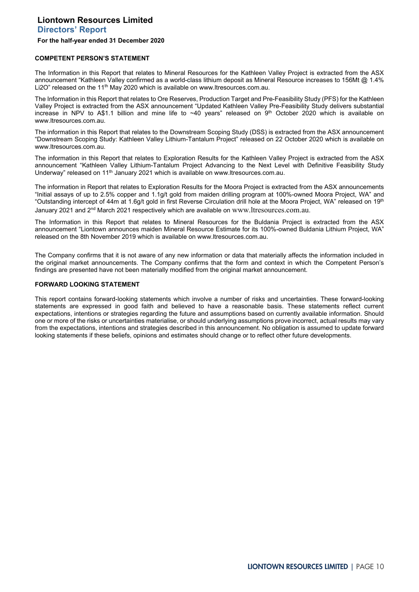**Directors' Report**

#### **For the half-year ended 31 December 2020**

### **COMPETENT PERSON'S STATEMENT**

The Information in this Report that relates to Mineral Resources for the Kathleen Valley Project is extracted from the ASX announcement "Kathleen Valley confirmed as a world-class lithium deposit as Mineral Resource increases to 156Mt @ 1.4% Li2O" released on the 11<sup>th</sup> May 2020 which is available on www.ltresources.com.au.

The Information in this Report that relates to Ore Reserves, Production Target and Pre-Feasibility Study (PFS) for the Kathleen Valley Project is extracted from the ASX announcement "Updated Kathleen Valley Pre-Feasibility Study delivers substantial increase in NPV to A\$1.1 billion and mine life to  $~40$  years" released on 9<sup>th</sup> October 2020 which is available on www.ltresources.com.au.

The information in this Report that relates to the Downstream Scoping Study (DSS) is extracted from the ASX announcement "Downstream Scoping Study: Kathleen Valley Lithium-Tantalum Project" released on 22 October 2020 which is available on www.ltresources.com.au.

The information in this Report that relates to Exploration Results for the Kathleen Valley Project is extracted from the ASX announcement "Kathleen Valley Lithium-Tantalum Project Advancing to the Next Level with Definitive Feasibility Study Underway" released on 11<sup>th</sup> January 2021 which is available on www.ltresources.com.au.

The information in Report that relates to Exploration Results for the Moora Project is extracted from the ASX announcements "Initial assays of up to 2.5% copper and 1.1g/t gold from maiden drilling program at 100%-owned Moora Project, WA" and "Outstanding intercept of 44m at 1.6g/t gold in first Reverse Circulation drill hole at the Moora Project, WA" released on 19<sup>th</sup> January 2021 and 2<sup>nd</sup> March 2021 respectively which are available on www.ltresources.com.au.

The Information in this Report that relates to Mineral Resources for the Buldania Project is extracted from the ASX announcement "Liontown announces maiden Mineral Resource Estimate for its 100%-owned Buldania Lithium Project, WA" released on the 8th November 2019 which is available on www.ltresources.com.au.

The Company confirms that it is not aware of any new information or data that materially affects the information included in the original market announcements. The Company confirms that the form and context in which the Competent Person's findings are presented have not been materially modified from the original market announcement.

### **FORWARD LOOKING STATEMENT**

This report contains forward-looking statements which involve a number of risks and uncertainties. These forward-looking statements are expressed in good faith and believed to have a reasonable basis. These statements reflect current expectations, intentions or strategies regarding the future and assumptions based on currently available information. Should one or more of the risks or uncertainties materialise, or should underlying assumptions prove incorrect, actual results may vary from the expectations, intentions and strategies described in this announcement. No obligation is assumed to update forward looking statements if these beliefs, opinions and estimates should change or to reflect other future developments.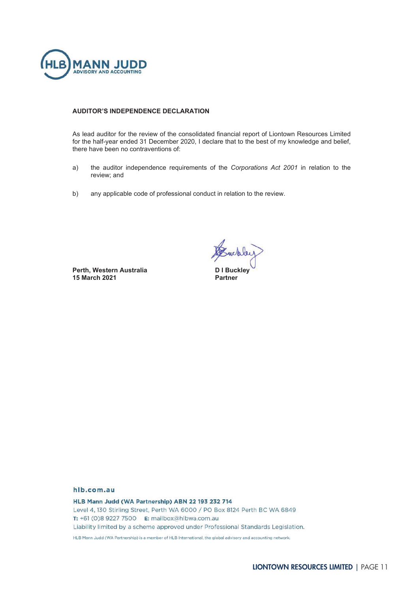

## **AUDITOR'S INDEPENDENCE DECLARATION**

As lead auditor for the review of the consolidated financial report of Liontown Resources Limited for the half-year ended 31 December 2020, I declare that to the best of my knowledge and belief, there have been no contraventions of:

- a) the auditor independence requirements of the *Corporations Act 2001* in relation to the review; and
- b) any applicable code of professional conduct in relation to the review.

Perth, Western Australia **15 March 2021** 

Suckley

**Buckley Partner** 

## hlb.com.au

HLB Mann Judd (WA Partnership) ABN 22 193 232 714 Level 4, 130 Stirling Street, Perth WA 6000 / PO Box 8124 Perth BC WA 6849 T: +61 (0)8 9227 7500 E: mailbox@hlbwa.com.au Liability limited by a scheme approved under Professional Standards Legislation. HLB Mann Judd (WA Partnership) is a member of HLB International, the global advisory and accounting network.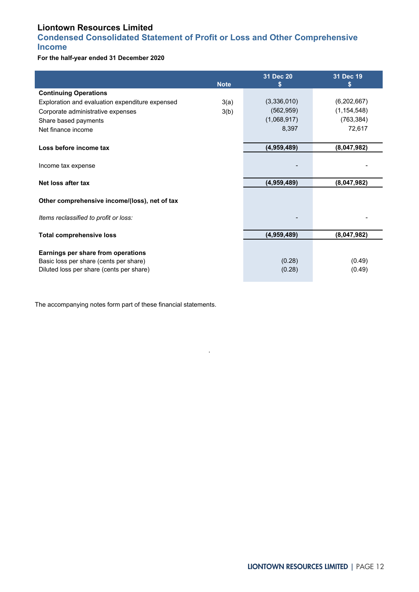# <span id="page-11-0"></span>**Condensed Consolidated Statement of Profit or Loss and Other Comprehensive Income**

**For the half-year ended 31 December 2020**

|                                                 | <b>Note</b> | 31 Dec 20<br>S | 31 Dec 19<br>S |
|-------------------------------------------------|-------------|----------------|----------------|
| <b>Continuing Operations</b>                    |             |                |                |
| Exploration and evaluation expenditure expensed | 3(a)        | (3,336,010)    | (6,202,667)    |
| Corporate administrative expenses               | 3(b)        | (562, 959)     | (1, 154, 548)  |
| Share based payments                            |             | (1,068,917)    | (763, 384)     |
| Net finance income                              |             | 8,397          | 72,617         |
|                                                 |             |                |                |
| Loss before income tax                          |             | (4,959,489)    | (8,047,982)    |
|                                                 |             |                |                |
| Income tax expense                              |             |                |                |
| Net loss after tax                              |             | (4,959,489)    | (8,047,982)    |
|                                                 |             |                |                |
| Other comprehensive income/(loss), net of tax   |             |                |                |
|                                                 |             |                |                |
| Items reclassified to profit or loss:           |             |                |                |
| <b>Total comprehensive loss</b>                 |             | (4,959,489)    | (8,047,982)    |
|                                                 |             |                |                |
| Earnings per share from operations              |             |                |                |
| Basic loss per share (cents per share)          |             | (0.28)         | (0.49)         |
| Diluted loss per share (cents per share)        |             | (0.28)         | (0.49)         |

.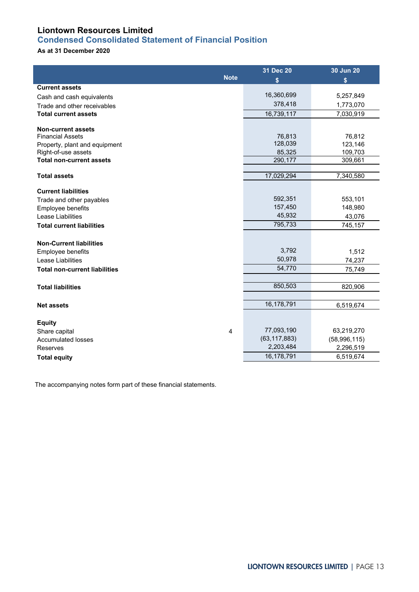# <span id="page-12-0"></span>**Condensed Consolidated Statement of Financial Position**

# **As at 31 December 2020**

|                                                      |             | 31 Dec 20      | 30 Jun 20      |
|------------------------------------------------------|-------------|----------------|----------------|
|                                                      | <b>Note</b> | \$             | \$             |
| <b>Current assets</b>                                |             |                |                |
| Cash and cash equivalents                            |             | 16,360,699     | 5,257,849      |
| Trade and other receivables                          |             | 378,418        | 1,773,070      |
| <b>Total current assets</b>                          |             | 16.739.117     | 7,030,919      |
|                                                      |             |                |                |
| <b>Non-current assets</b><br><b>Financial Assets</b> |             | 76,813         | 76,812         |
| Property, plant and equipment                        |             | 128,039        | 123,146        |
| Right-of-use assets                                  |             | 85,325         | 109,703        |
| <b>Total non-current assets</b>                      |             | 290,177        | 309,661        |
|                                                      |             |                |                |
| <b>Total assets</b>                                  |             | 17,029,294     | 7,340,580      |
| <b>Current liabilities</b>                           |             |                |                |
| Trade and other payables                             |             | 592,351        | 553,101        |
| Employee benefits                                    |             | 157,450        | 148,980        |
| Lease Liabilities                                    |             | 45,932         | 43,076         |
| <b>Total current liabilities</b>                     |             | 795,733        | 745,157        |
|                                                      |             |                |                |
| <b>Non-Current liabilities</b>                       |             |                |                |
| Employee benefits                                    |             | 3,792          | 1,512          |
| Lease Liabilities                                    |             | 50,978         | 74,237         |
| <b>Total non-current liabilities</b>                 |             | 54,770         | 75,749         |
|                                                      |             |                |                |
| <b>Total liabilities</b>                             |             | 850,503        | 820,906        |
|                                                      |             |                |                |
| <b>Net assets</b>                                    |             | 16,178,791     | 6,519,674      |
|                                                      |             |                |                |
| <b>Equity</b>                                        |             |                |                |
| Share capital                                        | 4           | 77,093,190     | 63,219,270     |
| <b>Accumulated losses</b>                            |             | (63, 117, 883) | (58, 996, 115) |
| Reserves                                             |             | 2,203,484      | 2,296,519      |
| <b>Total equity</b>                                  |             | 16,178,791     | 6,519,674      |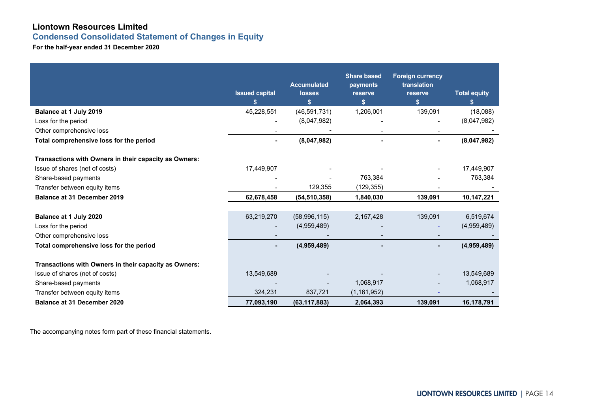**Condensed Consolidated Statement of Changes in Equity**

**For the half-year ended 31 December 2020**

<span id="page-13-0"></span>

|                                                                                         | <b>Issued capital</b> | <b>Accumulated</b><br><b>losses</b><br>S. | <b>Share based</b><br>payments<br>reserve<br>\$ | <b>Foreign currency</b><br>translation<br>reserve<br>\$ | <b>Total equity</b><br>s. |
|-----------------------------------------------------------------------------------------|-----------------------|-------------------------------------------|-------------------------------------------------|---------------------------------------------------------|---------------------------|
| Balance at 1 July 2019                                                                  | 45,228,551            | (46, 591, 731)                            | 1,206,001                                       | 139,091                                                 | (18,088)                  |
| Loss for the period                                                                     |                       | (8,047,982)                               |                                                 |                                                         | (8,047,982)               |
| Other comprehensive loss                                                                |                       |                                           |                                                 |                                                         |                           |
| Total comprehensive loss for the period                                                 | ٠                     | (8,047,982)                               |                                                 |                                                         | (8,047,982)               |
| Transactions with Owners in their capacity as Owners:<br>Issue of shares (net of costs) | 17,449,907            |                                           |                                                 |                                                         | 17,449,907                |
| Share-based payments                                                                    |                       |                                           | 763,384                                         |                                                         | 763,384                   |
| Transfer between equity items                                                           |                       | 129,355                                   | (129, 355)                                      |                                                         |                           |
| <b>Balance at 31 December 2019</b>                                                      | 62,678,458            | (54, 510, 358)                            | 1,840,030                                       | 139,091                                                 | 10,147,221                |
|                                                                                         |                       |                                           |                                                 |                                                         |                           |
| Balance at 1 July 2020                                                                  | 63,219,270            | (58,996,115)                              | 2,157,428                                       | 139,091                                                 | 6,519,674                 |
| Loss for the period                                                                     |                       | (4,959,489)                               |                                                 |                                                         | (4,959,489)               |
| Other comprehensive loss                                                                |                       |                                           |                                                 |                                                         |                           |
| Total comprehensive loss for the period                                                 | ٠                     | (4,959,489)                               |                                                 |                                                         | (4,959,489)               |
| Transactions with Owners in their capacity as Owners:                                   |                       |                                           |                                                 |                                                         |                           |
| Issue of shares (net of costs)                                                          | 13,549,689            |                                           |                                                 |                                                         | 13,549,689                |
| Share-based payments                                                                    |                       |                                           | 1,068,917                                       |                                                         | 1,068,917                 |
| Transfer between equity items                                                           | 324,231               | 837,721                                   | (1, 161, 952)                                   |                                                         |                           |
| <b>Balance at 31 December 2020</b>                                                      | 77,093,190            | (63, 117, 883)                            | 2,064,393                                       | 139,091                                                 | 16,178,791                |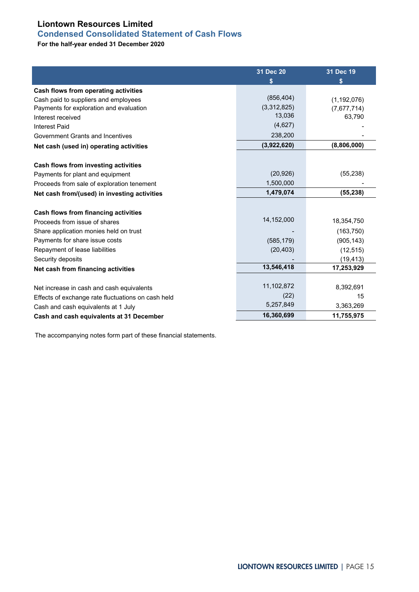# <span id="page-14-0"></span>**Condensed Consolidated Statement of Cash Flows**

**For the half-year ended 31 December 2020**

|                                                    | 31 Dec 20   | 31 Dec 19     |
|----------------------------------------------------|-------------|---------------|
|                                                    | S           | S             |
| Cash flows from operating activities               |             |               |
| Cash paid to suppliers and employees               | (856, 404)  | (1, 192, 076) |
| Payments for exploration and evaluation            | (3,312,825) | (7,677,714)   |
| Interest received                                  | 13,036      | 63,790        |
| <b>Interest Paid</b>                               | (4,627)     |               |
| Government Grants and Incentives                   | 238,200     |               |
| Net cash (used in) operating activities            | (3,922,620) | (8,806,000)   |
|                                                    |             |               |
| Cash flows from investing activities               |             |               |
| Payments for plant and equipment                   | (20, 926)   | (55, 238)     |
| Proceeds from sale of exploration tenement         | 1,500,000   |               |
| Net cash from/(used) in investing activities       | 1,479,074   | (55, 238)     |
|                                                    |             |               |
| Cash flows from financing activities               |             |               |
| Proceeds from issue of shares                      | 14,152,000  | 18,354,750    |
| Share application monies held on trust             |             | (163, 750)    |
| Payments for share issue costs                     | (585, 179)  | (905, 143)    |
| Repayment of lease liabilities                     | (20, 403)   | (12, 515)     |
| Security deposits                                  |             | (19, 413)     |
| Net cash from financing activities                 | 13,546,418  | 17,253,929    |
|                                                    |             |               |
| Net increase in cash and cash equivalents          | 11,102,872  | 8,392,691     |
| Effects of exchange rate fluctuations on cash held | (22)        | 15            |
| Cash and cash equivalents at 1 July                | 5,257,849   | 3,363,269     |
| Cash and cash equivalents at 31 December           | 16,360,699  | 11,755,975    |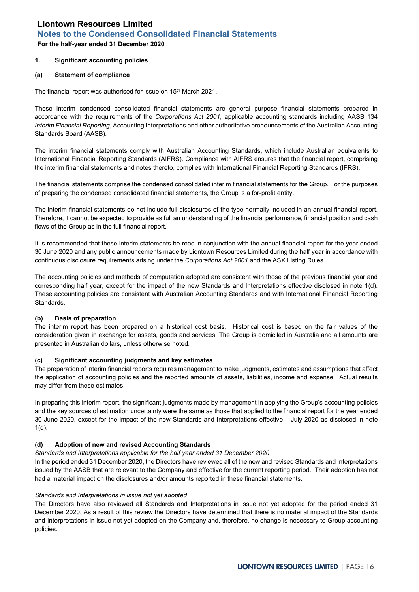<span id="page-15-0"></span>**For the half-year ended 31 December 2020**

## **1. Significant accounting policies**

## **(a) Statement of compliance**

The financial report was authorised for issue on 15<sup>th</sup> March 2021.

These interim condensed consolidated financial statements are general purpose financial statements prepared in accordance with the requirements of the *Corporations Act 2001*, applicable accounting standards including AASB 134 *Interim Financial Reporting*, Accounting Interpretations and other authoritative pronouncements of the Australian Accounting Standards Board (AASB).

The interim financial statements comply with Australian Accounting Standards, which include Australian equivalents to International Financial Reporting Standards (AIFRS). Compliance with AIFRS ensures that the financial report, comprising the interim financial statements and notes thereto, complies with International Financial Reporting Standards (IFRS).

The financial statements comprise the condensed consolidated interim financial statements for the Group. For the purposes of preparing the condensed consolidated financial statements, the Group is a for-profit entity.

The interim financial statements do not include full disclosures of the type normally included in an annual financial report. Therefore, it cannot be expected to provide as full an understanding of the financial performance, financial position and cash flows of the Group as in the full financial report.

It is recommended that these interim statements be read in conjunction with the annual financial report for the year ended 30 June 2020 and any public announcements made by Liontown Resources Limited during the half year in accordance with continuous disclosure requirements arising under the *Corporations Act 2001* and the ASX Listing Rules.

The accounting policies and methods of computation adopted are consistent with those of the previous financial year and corresponding half year, except for the impact of the new Standards and Interpretations effective disclosed in note 1(d). These accounting policies are consistent with Australian Accounting Standards and with International Financial Reporting Standards.

# **(b) Basis of preparation**

The interim report has been prepared on a historical cost basis. Historical cost is based on the fair values of the consideration given in exchange for assets, goods and services. The Group is domiciled in Australia and all amounts are presented in Australian dollars, unless otherwise noted.

## **(c) Significant accounting judgments and key estimates**

The preparation of interim financial reports requires management to make judgments, estimates and assumptions that affect the application of accounting policies and the reported amounts of assets, liabilities, income and expense. Actual results may differ from these estimates.

In preparing this interim report, the significant judgments made by management in applying the Group's accounting policies and the key sources of estimation uncertainty were the same as those that applied to the financial report for the year ended 30 June 2020, except for the impact of the new Standards and Interpretations effective 1 July 2020 as disclosed in note 1(d).

## **(d) Adoption of new and revised Accounting Standards**

## *Standards and Interpretations applicable for the half year ended 31 December 2020*

In the period ended 31 December 2020, the Directors have reviewed all of the new and revised Standards and Interpretations issued by the AASB that are relevant to the Company and effective for the current reporting period. Their adoption has not had a material impact on the disclosures and/or amounts reported in these financial statements.

## *Standards and Interpretations in issue not yet adopted*

The Directors have also reviewed all Standards and Interpretations in issue not yet adopted for the period ended 31 December 2020. As a result of this review the Directors have determined that there is no material impact of the Standards and Interpretations in issue not yet adopted on the Company and, therefore, no change is necessary to Group accounting policies.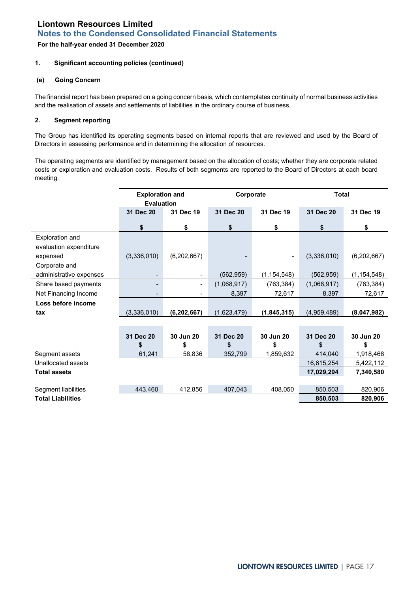## **For the half-year ended 31 December 2020**

## **1. Significant accounting policies (continued)**

## **(e) Going Concern**

The financial report has been prepared on a going concern basis, which contemplates continuity of normal business activities and the realisation of assets and settlements of liabilities in the ordinary course of business.

## **2. Segment reporting**

The Group has identified its operating segments based on internal reports that are reviewed and used by the Board of Directors in assessing performance and in determining the allocation of resources.

The operating segments are identified by management based on the allocation of costs; whether they are corporate related costs or exploration and evaluation costs. Results of both segments are reported to the Board of Directors at each board meeting.

|                          | <b>Exploration and</b><br><b>Evaluation</b> |                          | Corporate   |                 | <b>Total</b> |                 |
|--------------------------|---------------------------------------------|--------------------------|-------------|-----------------|--------------|-----------------|
|                          | 31 Dec 20                                   | 31 Dec 19                | 31 Dec 20   | 31 Dec 19       | 31 Dec 20    | 31 Dec 19       |
|                          | \$                                          | \$                       | \$          | \$              | \$           | \$              |
| Exploration and          |                                             |                          |             |                 |              |                 |
| evaluation expenditure   |                                             |                          |             |                 |              |                 |
| expensed                 | (3,336,010)                                 | (6,202,667)              |             |                 | (3,336,010)  | (6,202,667)     |
| Corporate and            |                                             |                          |             |                 |              |                 |
| administrative expenses  | $\overline{\phantom{a}}$                    |                          | (562, 959)  | (1, 154, 548)   | (562, 959)   | (1, 154, 548)   |
| Share based payments     | $\overline{\phantom{0}}$                    | $\overline{\phantom{a}}$ | (1,068,917) | (763, 384)      | (1,068,917)  | (763, 384)      |
| Net Financing Income     | $\overline{\phantom{a}}$                    |                          | 8,397       | 72,617          | 8,397        | 72,617          |
| Loss before income       |                                             |                          |             |                 |              |                 |
| tax                      | (3,336,010)                                 | (6, 202, 667)            | (1,623,479) | (1,845,315)     | (4,959,489)  | (8,047,982)     |
|                          |                                             |                          |             |                 |              |                 |
|                          | 31 Dec 20                                   |                          | 31 Dec 20   |                 | 31 Dec 20    |                 |
|                          | \$                                          | 30 Jun 20<br>\$          | \$          | 30 Jun 20<br>\$ | \$           | 30 Jun 20<br>\$ |
| Segment assets           | 61,241                                      | 58,836                   | 352,799     | 1,859,632       | 414,040      | 1,918,468       |
| Unallocated assets       |                                             |                          |             |                 | 16,615,254   | 5,422,112       |
| <b>Total assets</b>      |                                             |                          |             |                 |              |                 |
|                          |                                             |                          |             |                 | 17,029,294   | 7,340,580       |
| Segment liabilities      | 443,460                                     | 412,856                  | 407,043     | 408,050         | 850,503      | 820,906         |
| <b>Total Liabilities</b> |                                             |                          |             |                 | 850,503      | 820,906         |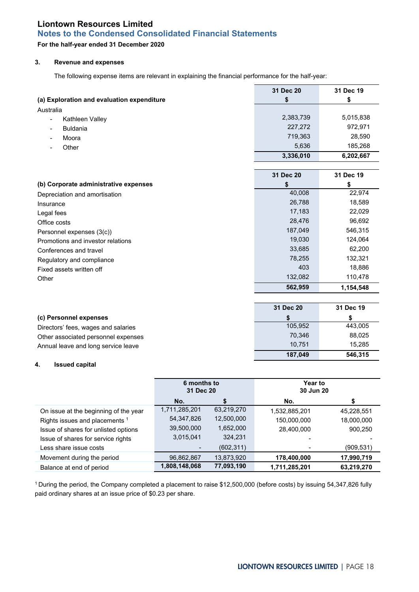# **For the half-year ended 31 December 2020**

## **3. Revenue and expenses**

The following expense items are relevant in explaining the financial performance for the half-year:

|                                             | 31 Dec 20 | 31 Dec 19 |
|---------------------------------------------|-----------|-----------|
| (a) Exploration and evaluation expenditure  | \$        | \$        |
| Australia                                   |           |           |
| Kathleen Valley                             | 2,383,739 | 5,015,838 |
| <b>Buldania</b><br>$\overline{\phantom{a}}$ | 227,272   | 972,971   |
| Moora                                       | 719,363   | 28,590    |
| Other                                       | 5,636     | 185,268   |
|                                             | 3,336,010 | 6,202,667 |
|                                             |           |           |
|                                             | 31 Dec 20 | 31 Dec 19 |
| (b) Corporate administrative expenses       | \$        | \$        |
| Depreciation and amortisation               | 40,008    | 22,974    |
| Insurance                                   | 26,788    | 18,589    |
| Legal fees                                  | 17,183    | 22,029    |
| Office costs                                | 28,476    | 96,692    |
| Personnel expenses (3(c))                   | 187,049   | 546,315   |
| Promotions and investor relations           | 19,030    | 124,064   |
| Conferences and travel                      | 33,685    | 62,200    |
| Regulatory and compliance                   | 78,255    | 132,321   |
| Fixed assets written off                    | 403       | 18,886    |
| Other                                       | 132,082   | 110,478   |
|                                             | 562,959   | 1,154,548 |
|                                             |           |           |
|                                             | 31 Dec 20 | 31 Dec 19 |
| (c) Personnel expenses                      | S         | \$        |
| Directors' fees, wages and salaries         | 105,952   | 443,005   |
| Other associated personnel expenses         | 70,346    | 88,025    |
| Annual leave and long service leave         | 10,751    | 15,285    |
|                                             | 187,049   | 546,315   |

### **4. Issued capital**

|                                           | 6 months to<br>31 Dec 20                     |            | Year to<br>30 Jun 20 |            |
|-------------------------------------------|----------------------------------------------|------------|----------------------|------------|
|                                           | No.                                          |            | No.                  | S          |
| On issue at the beginning of the year     | 1,711,285,201                                | 63,219,270 | 1,532,885,201        | 45,228,551 |
| Rights issues and placements <sup>1</sup> | 54,347,826                                   | 12,500,000 | 150,000,000          | 18,000,000 |
| Issue of shares for unlisted options      | 39,500,000                                   | 1,652,000  | 28,400,000           | 900,250    |
| Issue of shares for service rights        | 3,015,041                                    | 324,231    |                      |            |
| Less share issue costs                    |                                              | (602, 311) |                      | (909, 531) |
| Movement during the period                | 96,862,867                                   | 13,873,920 | 178,400,000          | 17,990,719 |
| Balance at end of period                  | 1,808,148,068<br>77,093,190<br>1,711,285,201 |            | 63,219,270           |            |

1 During the period, the Company completed a placement to raise \$12,500,000 (before costs) by issuing 54,347,826 fully paid ordinary shares at an issue price of \$0.23 per share.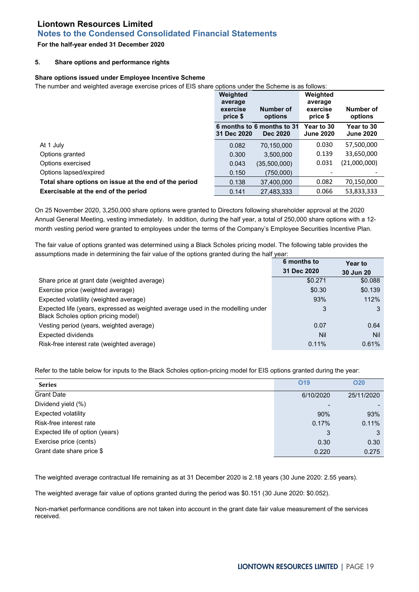# **Notes to the Condensed Consolidated Financial Statements**

## **For the half-year ended 31 December 2020**

### **5. Share options and performance rights**

### **Share options issued under Employee Incentive Scheme**

The number and weighted average exercise prices of EIS share options under the Scheme is as follows:

|                                                       | Weighted<br>average<br>Number of<br>exercise<br>price \$<br>options |                                               | Weighted<br>average<br>Number of<br>exercise<br>price \$<br>options |                                |
|-------------------------------------------------------|---------------------------------------------------------------------|-----------------------------------------------|---------------------------------------------------------------------|--------------------------------|
|                                                       | 31 Dec 2020                                                         | 6 months to 6 months to 31<br><b>Dec 2020</b> | Year to 30<br><b>June 2020</b>                                      | Year to 30<br><b>June 2020</b> |
| At 1 July                                             | 0.082                                                               | 70,150,000                                    | 0.030                                                               | 57,500,000                     |
| Options granted                                       | 0.300                                                               | 3,500,000                                     | 0.139                                                               | 33,650,000                     |
| Options exercised                                     | 0.043                                                               | (35,500,000)                                  | 0.031                                                               | (21,000,000)                   |
| Options lapsed/expired                                | 0.150                                                               | (750.000)                                     |                                                                     |                                |
| Total share options on issue at the end of the period | 0.138                                                               | 37.400.000                                    | 0.082                                                               | 70,150,000                     |
| Exercisable at the end of the period                  | 0.141                                                               | 27.483.333                                    | 0.066                                                               | 53,833,333                     |

On 25 November 2020, 3,250,000 share options were granted to Directors following shareholder approval at the 2020 Annual General Meeting, vesting immediately. In addition, during the half year, a total of 250,000 share options with a 12 month vesting period were granted to employees under the terms of the Company's Employee Securities Incentive Plan.

The fair value of options granted was determined using a Black Scholes pricing model. The following table provides the assumptions made in determining the fair value of the options granted during the half year:

|                                                                                                                        | 6 months to | <b>Year to</b> |
|------------------------------------------------------------------------------------------------------------------------|-------------|----------------|
|                                                                                                                        | 31 Dec 2020 | 30 Jun 20      |
| Share price at grant date (weighted average)                                                                           | \$0.271     | \$0.088        |
| Exercise price (weighted average)                                                                                      | \$0.30      | \$0.139        |
| Expected volatility (weighted average)                                                                                 | 93%         | 112%           |
| Expected life (years, expressed as weighted average used in the modelling under<br>Black Scholes option pricing model) | 3           |                |
| Vesting period (years, weighted average)                                                                               | 0.07        | 0.64           |
| <b>Expected dividends</b>                                                                                              | Nil         | <b>Nil</b>     |
| Risk-free interest rate (weighted average)                                                                             | 0.11%       | 0.61%          |

Refer to the table below for inputs to the Black Scholes option-pricing model for EIS options granted during the year:

| <b>Series</b>                   | O <sub>19</sub> | <b>O20</b> |
|---------------------------------|-----------------|------------|
| <b>Grant Date</b>               | 6/10/2020       | 25/11/2020 |
| Dividend yield (%)              |                 |            |
| Expected volatility             | 90%             | 93%        |
| Risk-free interest rate         | 0.17%           | 0.11%      |
| Expected life of option (years) | 3               | 3          |
| Exercise price (cents)          | 0.30            | 0.30       |
| Grant date share price \$       | 0.220           | 0.275      |

The weighted average contractual life remaining as at 31 December 2020 is 2.18 years (30 June 2020: 2.55 years).

The weighted average fair value of options granted during the period was \$0.151 (30 June 2020: \$0.052).

Non-market performance conditions are not taken into account in the grant date fair value measurement of the services received.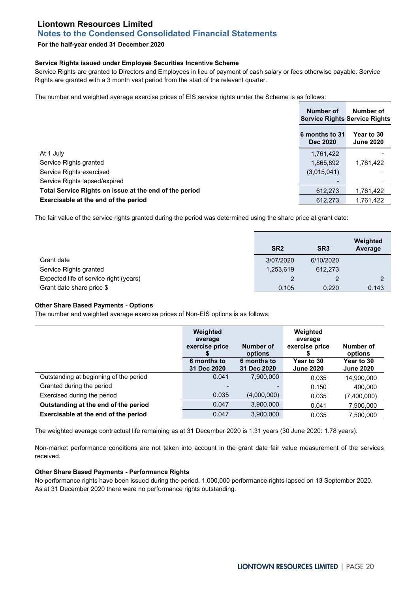# **Notes to the Condensed Consolidated Financial Statements**

## **For the half-year ended 31 December 2020**

### **Service Rights issued under Employee Securities Incentive Scheme**

Service Rights are granted to Directors and Employees in lieu of payment of cash salary or fees otherwise payable. Service Rights are granted with a 3 month vest period from the start of the relevant quarter.

The number and weighted average exercise prices of EIS service rights under the Scheme is as follows:

|                                                        | Number of<br><b>Service Rights Service Rights</b> | Number of                      |
|--------------------------------------------------------|---------------------------------------------------|--------------------------------|
|                                                        | 6 months to 31<br><b>Dec 2020</b>                 | Year to 30<br><b>June 2020</b> |
| At 1 July                                              | 1,761,422                                         |                                |
| Service Rights granted                                 | 1,865,892                                         | 1,761,422                      |
| Service Rights exercised                               | (3,015,041)                                       |                                |
| Service Rights lapsed/expired                          | -                                                 |                                |
| Total Service Rights on issue at the end of the period | 612,273                                           | 1,761,422                      |
| Exercisable at the end of the period                   | 612.273                                           | 1,761,422                      |

The fair value of the service rights granted during the period was determined using the share price at grant date:

|                                        | SR <sub>2</sub> | SR <sub>3</sub> | Weighted<br>Average |
|----------------------------------------|-----------------|-----------------|---------------------|
| Grant date                             | 3/07/2020       | 6/10/2020       |                     |
| Service Rights granted                 | 1,253,619       | 612.273         |                     |
| Expected life of service right (years) |                 |                 |                     |
| Grant date share price \$              | 0.105           | 0.220           | 0.143               |

#### **Other Share Based Payments - Options**

The number and weighted average exercise prices of Non-EIS options is as follows:

|                                        | Weighted<br>average<br>exercise price | Number of<br>options       | Weighted<br>average<br>exercise price | Number of<br>options           |
|----------------------------------------|---------------------------------------|----------------------------|---------------------------------------|--------------------------------|
|                                        | 6 months to<br>31 Dec 2020            | 6 months to<br>31 Dec 2020 | Year to 30<br><b>June 2020</b>        | Year to 30<br><b>June 2020</b> |
| Outstanding at beginning of the period | 0.041                                 | 7,900,000                  | 0.035                                 | 14,900,000                     |
| Granted during the period              |                                       |                            | 0.150                                 | 400.000                        |
| Exercised during the period            | 0.035                                 | (4,000,000)                | 0.035                                 | (7,400,000)                    |
| Outstanding at the end of the period   | 0.047                                 | 3,900,000                  | 0.041                                 | 7,900,000                      |
| Exercisable at the end of the period   | 0.047                                 | 3,900,000                  | 0.035                                 | 7.500.000                      |

The weighted average contractual life remaining as at 31 December 2020 is 1.31 years (30 June 2020: 1.78 years).

Non-market performance conditions are not taken into account in the grant date fair value measurement of the services received.

### **Other Share Based Payments - Performance Rights**

No performance rights have been issued during the period. 1,000,000 performance rights lapsed on 13 September 2020. As at 31 December 2020 there were no performance rights outstanding.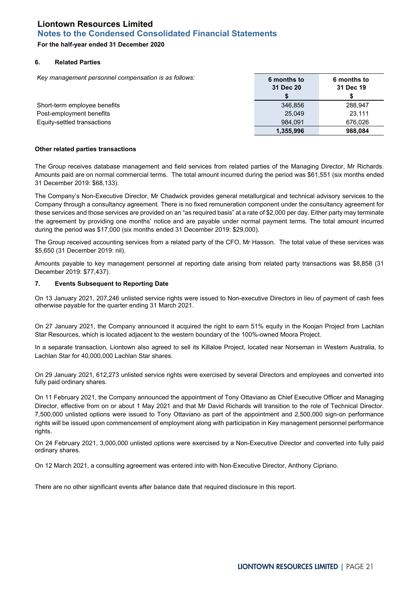# **For the half-year ended 31 December 2020**

### **6. Related Parties**

*Key management personnel compensation is as follows:* **6 months to**

|                              | <u>o iliohuis lo</u><br>31 Dec 20 | <u>v IIIviiuis lv</u><br>31 Dec 19 |
|------------------------------|-----------------------------------|------------------------------------|
|                              |                                   |                                    |
| Short-term employee benefits | 346.856                           | 288.947                            |
| Post-employment benefits     | 25.049                            | 23.111                             |
| Equity-settled transactions  | 984.091                           | 676.026                            |
|                              | 1,355,996                         | 988.084                            |

### **Other related parties transactions**

The Group receives database management and field services from related parties of the Managing Director, Mr Richards. Amounts paid are on normal commercial terms. The total amount incurred during the period was \$61,551 (six months ended 31 December 2019: \$68,133).

The Company's Non-Executive Director, Mr Chadwick provides general metallurgical and technical advisory services to the Company through a consultancy agreement. There is no fixed remuneration component under the consultancy agreement for these services and those services are provided on an "as required basis" at a rate of \$2,000 per day. Either party may terminate the agreement by providing one months' notice and are payable under normal payment terms. The total amount incurred during the period was \$17,000 (six months ended 31 December 2019: \$29,000).

The Group received accounting services from a related party of the CFO, Mr Hasson. The total value of these services was \$5,650 (31 December 2019: nil).

Amounts payable to key management personnel at reporting date arising from related party transactions was \$8,858 (31 December 2019: \$77,437).

### **7. Events Subsequent to Reporting Date**

On 13 January 2021, 207,246 unlisted service rights were issued to Non-executive Directors in lieu of payment of cash fees otherwise payable for the quarter ending 31 March 2021.

On 27 January 2021, the Company announced it acquired the right to earn 51% equity in the Koojan Project from Lachlan Star Resources, which is located adjacent to the western boundary of the 100%-owned Moora Project.

In a separate transaction, Liontown also agreed to sell its Killaloe Project, located near Norseman in Western Australia, to Lachlan Star for 40,000,000 Lachlan Star shares.

On 29 January 2021, 612,273 unlisted service rights were exercised by several Directors and employees and converted into fully paid ordinary shares.

On 11 February 2021, the Company announced the appointment of Tony Ottaviano as Chief Executive Officer and Managing Director, effective from on or about 1 May 2021 and that Mr David Richards will transition to the role of Technical Director. 7,500,000 unlisted options were issued to Tony Ottaviano as part of the appointment and 2,500,000 sign-on performance rights will be issued upon commencement of employment along with participation in Key management personnel performance rights.

On 24 February 2021, 3,000,000 unlisted options were exercised by a Non-Executive Director and converted into fully paid ordinary shares.

On 12 March 2021, a consulting agreement was entered into with Non-Executive Director, Anthony Cipriano.

There are no other significant events after balance date that required disclosure in this report.

**6 months to**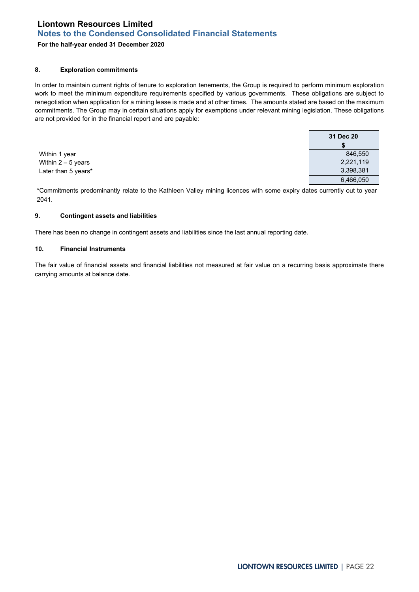# **For the half-year ended 31 December 2020**

## **8. Exploration commitments**

In order to maintain current rights of tenure to exploration tenements, the Group is required to perform minimum exploration work to meet the minimum expenditure requirements specified by various governments. These obligations are subject to renegotiation when application for a mining lease is made and at other times. The amounts stated are based on the maximum commitments. The Group may in certain situations apply for exemptions under relevant mining legislation. These obligations are not provided for in the financial report and are payable:

|                     | 31 Dec 20 |
|---------------------|-----------|
|                     |           |
| Within 1 year       | 846,550   |
| Within $2-5$ years  | 2,221,119 |
| Later than 5 years* | 3,398,381 |
|                     | 6,466,050 |

\*Commitments predominantly relate to the Kathleen Valley mining licences with some expiry dates currently out to year 2041.

## **9. Contingent assets and liabilities**

There has been no change in contingent assets and liabilities since the last annual reporting date.

### **10. Financial Instruments**

The fair value of financial assets and financial liabilities not measured at fair value on a recurring basis approximate there carrying amounts at balance date.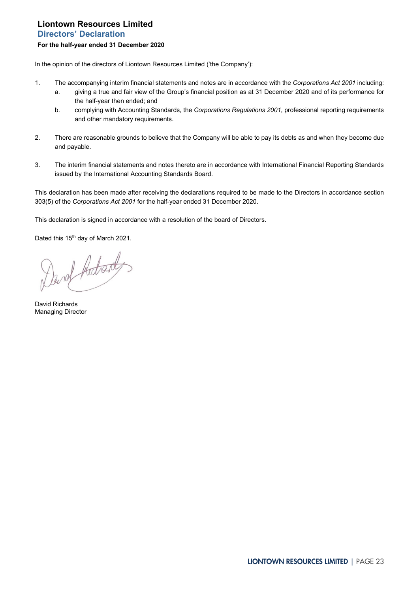# <span id="page-22-0"></span>**Liontown Resources Limited Directors' Declaration For the half-year ended 31 December 2020**

In the opinion of the directors of Liontown Resources Limited ('the Company'):

- 1. The accompanying interim financial statements and notes are in accordance with the *Corporations Act 2001* including:
	- a. giving a true and fair view of the Group's financial position as at 31 December 2020 and of its performance for the half-year then ended; and
	- b. complying with Accounting Standards, the *Corporations Regulations 2001*, professional reporting requirements and other mandatory requirements.
- 2. There are reasonable grounds to believe that the Company will be able to pay its debts as and when they become due and payable.
- 3. The interim financial statements and notes thereto are in accordance with International Financial Reporting Standards issued by the International Accounting Standards Board.

This declaration has been made after receiving the declarations required to be made to the Directors in accordance section 303(5) of the *Corporations Act 2001* for the half-year ended 31 December 2020.

This declaration is signed in accordance with a resolution of the board of Directors.

Dated this 15<sup>th</sup> day of March 2021.

David Adresday

David Richards Managing Director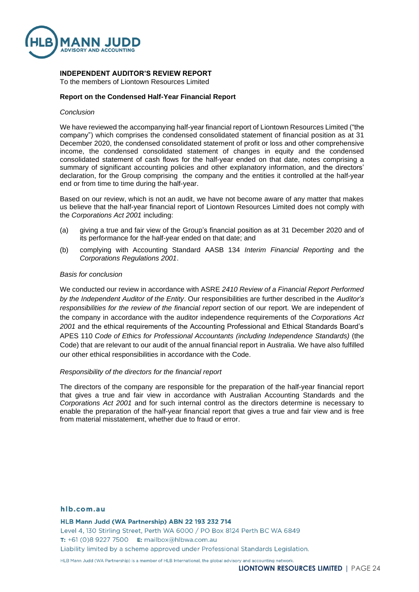

# **INDEPENDENT AUDITOR'S REVIEW REPORT**

To the members of Liontown Resources Limited

# **Report on the Condensed Half-Year Financial Report**

### *Conclusion*

We have reviewed the accompanying half-year financial report of Liontown Resources Limited ("the company") which comprises the condensed consolidated statement of financial position as at 31 December 2020, the condensed consolidated statement of profit or loss and other comprehensive income, the condensed consolidated statement of changes in equity and the condensed consolidated statement of cash flows for the half-year ended on that date, notes comprising a summary of significant accounting policies and other explanatory information, and the directors' declaration, for the Group comprising the company and the entities it controlled at the half-year end or from time to time during the half-year.

Based on our review, which is not an audit, we have not become aware of any matter that makes us believe that the half-year financial report of Liontown Resources Limited does not comply with the *Corporations Act 2001* including:

- (a) giving a true and fair view of the Group's financial position as at 31 December 2020 and of its performance for the half-year ended on that date; and
- (b) complying with Accounting Standard AASB 134 *Interim Financial Reporting* and the *Corporations Regulations 2001*.

### *Basis for conclusion*

We conducted our review in accordance with ASRE *2410 Review of a Financial Report Performed by the Independent Auditor of the Entity*. Our responsibilities are further described in the *Auditor's responsibilities for the review of the financial report* section of our report. We are independent of the company in accordance with the auditor independence requirements of the *Corporations Act 2001* and the ethical requirements of the Accounting Professional and Ethical Standards Board's APES 110 *Code of Ethics for Professional Accountants (including Independence Standards)* (the Code) that are relevant to our audit of the annual financial report in Australia. We have also fulfilled our other ethical responsibilities in accordance with the Code.

## *Responsibility of the directors for the financial report*

The directors of the company are responsible for the preparation of the half-year financial report that gives a true and fair view in accordance with Australian Accounting Standards and the *Corporations Act 2001* and for such internal control as the directors determine is necessary to enable the preparation of the half-year financial report that gives a true and fair view and is free from material misstatement, whether due to fraud or error.

### hlb.com.au

HLB Mann Judd (WA Partnership) ABN 22 193 232 714

Level 4, 130 Stirling Street, Perth WA 6000 / PO Box 8124 Perth BC WA 6849 T: +61 (0)8 9227 7500 E: mailbox@hlbwa.com.au Liability limited by a scheme approved under Professional Standards Legislation.

HLB Mann Judd (WA Partnership) is a member of HLB International, the global advisory and accounting network.